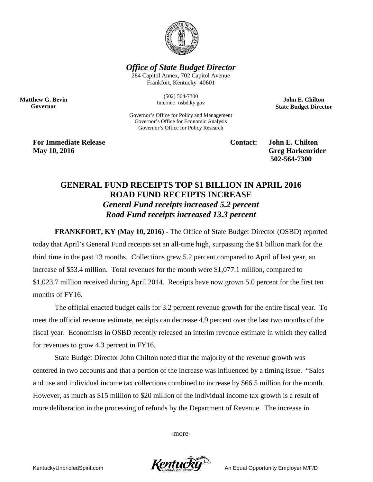

*Office of State Budget Director*

284 Capitol Annex, 702 Capitol Avenue Frankfort, Kentucky 40601

> (502) 564-7300 Internet: osbd.ky.gov

Governor's Office for Policy and Management Governor's Office for Economic Analysis Governor's Office for Policy Research

**Matthew G. Bevin Governor**

**For Immediate Release Contact: John E. Chilton May 10, 2016** Greg Harkenrider **502-564-7300** 

**John E. Chilton State Budget Director**

## **GENERAL FUND RECEIPTS TOP \$1 BILLION IN APRIL 2016 ROAD FUND RECEIPTS INCREASE**  *General Fund receipts increased 5.2 percent Road Fund receipts increased 13.3 percent*

**FRANKFORT, KY (May 10, 2016)** - The Office of State Budget Director (OSBD) reported today that April's General Fund receipts set an all-time high, surpassing the \$1 billion mark for the third time in the past 13 months. Collections grew 5.2 percent compared to April of last year, an increase of \$53.4 million. Total revenues for the month were \$1,077.1 million, compared to \$1,023.7 million received during April 2014. Receipts have now grown 5.0 percent for the first ten months of FY16.

The official enacted budget calls for 3.2 percent revenue growth for the entire fiscal year. To meet the official revenue estimate, receipts can decrease 4.9 percent over the last two months of the fiscal year. Economists in OSBD recently released an interim revenue estimate in which they called for revenues to grow 4.3 percent in FY16.

State Budget Director John Chilton noted that the majority of the revenue growth was centered in two accounts and that a portion of the increase was influenced by a timing issue. "Sales and use and individual income tax collections combined to increase by \$66.5 million for the month. However, as much as \$15 million to \$20 million of the individual income tax growth is a result of more deliberation in the processing of refunds by the Department of Revenue. The increase in

-more-

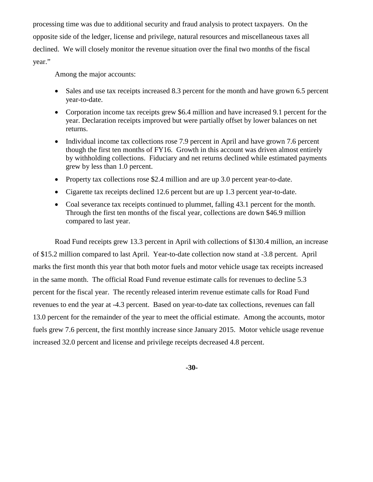processing time was due to additional security and fraud analysis to protect taxpayers. On the opposite side of the ledger, license and privilege, natural resources and miscellaneous taxes all declined. We will closely monitor the revenue situation over the final two months of the fiscal year."

Among the major accounts:

- Sales and use tax receipts increased 8.3 percent for the month and have grown 6.5 percent year-to-date.
- Corporation income tax receipts grew \$6.4 million and have increased 9.1 percent for the year. Declaration receipts improved but were partially offset by lower balances on net returns.
- Individual income tax collections rose 7.9 percent in April and have grown 7.6 percent though the first ten months of FY16. Growth in this account was driven almost entirely by withholding collections. Fiduciary and net returns declined while estimated payments grew by less than 1.0 percent.
- Property tax collections rose \$2.4 million and are up 3.0 percent year-to-date.
- Cigarette tax receipts declined 12.6 percent but are up 1.3 percent year-to-date.
- Coal severance tax receipts continued to plummet, falling 43.1 percent for the month. Through the first ten months of the fiscal year, collections are down \$46.9 million compared to last year.

Road Fund receipts grew 13.3 percent in April with collections of \$130.4 million, an increase of \$15.2 million compared to last April. Year-to-date collection now stand at -3.8 percent. April marks the first month this year that both motor fuels and motor vehicle usage tax receipts increased in the same month. The official Road Fund revenue estimate calls for revenues to decline 5.3 percent for the fiscal year. The recently released interim revenue estimate calls for Road Fund revenues to end the year at -4.3 percent. Based on year-to-date tax collections, revenues can fall 13.0 percent for the remainder of the year to meet the official estimate. Among the accounts, motor fuels grew 7.6 percent, the first monthly increase since January 2015. Motor vehicle usage revenue increased 32.0 percent and license and privilege receipts decreased 4.8 percent.

**-30-**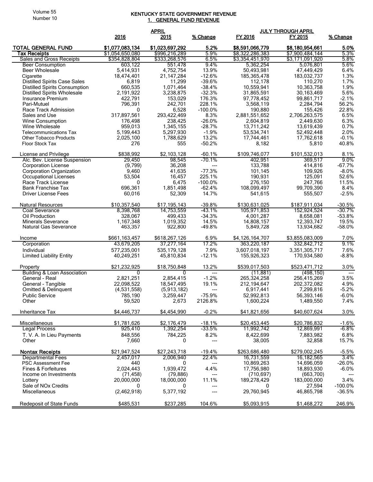## Volume 55 Number 10

## KENTUCKY STATE GOVERNMENT REVENUE <u>1. GENERAL FUND REVENUE</u>

| <b>APRIL</b><br><b>JULY THROUGH APRIL</b>                                                                     |            |
|---------------------------------------------------------------------------------------------------------------|------------|
| 2016<br>2015<br>% Change<br>FY 2016<br>FY 2015                                                                | % Change   |
|                                                                                                               |            |
| 5.2%<br><b>TOTAL GENERAL FUND</b><br>\$1,077,083,134<br>\$1,023,697,292<br>\$8,591,066,779<br>\$8,180,954,661 | 5.0%       |
| \$1,054,650,080<br>\$996,216,289<br>5.9%<br>\$8,322,286,383<br>\$7,900,484,144<br>Tax Receipts                | 5.3%       |
| Sales and Gross Receipts<br>\$354,828,804<br>\$333,268,576<br>6.5%<br>\$3,354,451,970<br>\$3,171,091,920      | 5.8%       |
| 9.4%<br><b>Beer Consumption</b><br>603,122<br>551,478<br>5,362,254<br>5,076,801                               | 5.6%       |
| 5,414,931<br>4.752.754<br>13.9%<br>50,493,981<br><b>Beer Wholesale</b><br>47,449,429                          | 6.4%       |
| $-12.6%$<br>18,474,401<br>21, 147, 284<br>185,365,478<br>183,032,737<br>Cigarette                             | 1.3%       |
| $-39.6%$<br><b>Distilled Spirits Case Sales</b><br>6,819<br>11,299<br>112,178<br>110,270                      | 1.7%       |
| $-38.4%$                                                                                                      | 1.9%       |
| <b>Distilled Spirits Consumption</b><br>660,535<br>1,071,464<br>10,559,941<br>10,363,758                      |            |
| $-32.3%$<br><b>Distilled Spirits Wholesale</b><br>2,191,922<br>3,238,875<br>31,865,591<br>30,163,469          | 5.6%       |
| 176.3%<br>153,029<br>Insurance Premium<br>422,791<br>97,778,452<br>99,861,717                                 | $-2.1%$    |
| 242,701<br>228.1%<br>Pari-Mutuel<br>796,391<br>3,568,119<br>2,284,794                                         | 56.2%      |
| Race Track Admission<br>$-100.0\%$<br>0<br>6,528<br>190,880<br>155,426                                        | 22.8%      |
| 317,897,561<br>293,422,469<br>8.3%<br>2,881,551,652<br>2,706,263,575<br>Sales and Use                         | 6.5%       |
| 238,425<br>$-26.0%$<br>2,604,819<br>Wine Consumption<br>176,498<br>2,449,630                                  | 6.3%       |
| $-28.7%$<br>Wine Wholesale<br>959,013<br>1,345,155<br>13,711,242<br>13,619,439                                | 0.7%       |
| $-1.9%$<br>5.199.443<br>5,297,930<br>53,534,741<br>52,492,448<br><b>Telecommunications Tax</b>                | 2.0%       |
| 13.2%<br>17,762,618<br><b>Other Tobacco Products</b><br>2,025,100<br>1,788,629<br>17,744,461                  | $-0.1%$    |
| $-50.2%$<br>276<br><b>Floor Stock Tax</b><br>555<br>8,182<br>5,810                                            | 40.8%      |
|                                                                                                               |            |
| \$838,992<br>\$101,532,013<br>\$2,103,128<br>$-60.1%$<br>\$109,746,077<br>License and Privilege               | 8.1%       |
| $-70.1%$<br>Alc. Bev. License Suspension<br>29,450<br>98,545<br>402,951<br>369,517                            | 9.0%       |
| (9,799)<br>36,208<br>133,788<br>414,816<br><b>Corporation License</b><br>---                                  | $-67.7%$   |
| $-77.3%$<br><b>Corporation Organization</b><br>9,460<br>41,635<br>101,145<br>109,926                          | $-8.0\%$   |
| 225.1%<br>190,931<br>125,091<br>53,504<br>16,457<br><b>Occupational Licenses</b>                              | 52.6%      |
| 0                                                                                                             | 11.5%      |
| 6,475<br>$-100.0\%$<br>276,150<br>247,766<br>Race Track License                                               |            |
| 696,361<br><b>Bank Franchise Tax</b><br>1,851,498<br>$-62.4%$<br>108.099.497<br>99,709,390                    | 8.4%       |
| 60,016<br>52,309<br>14.7%<br>555,507<br>Driver License Fees<br>541,615                                        | $-2.5%$    |
| \$10,357,540<br>\$17,195,143<br>$-39.8%$<br>\$130,631,025<br>\$187,911,034<br><b>Natural Resources</b>        | $-30.5%$   |
| $-43.1%$<br>Coal Severance<br>8,398,768<br>14,753,559<br>105,971,853<br>152,924,524                           | $-30.7%$   |
| 328,067<br>499,433<br>$-34.3%$<br>4,001,287<br>8,658,081<br>Oil Production                                    | $-53.8%$   |
| 1,019,352<br>14.5%<br><b>Minerals Severance</b><br>1,167,348<br>14,808,157<br>12,393,747                      | 19.5%      |
| 922,800<br>$-49.8%$<br><b>Natural Gas Severance</b><br>463,357<br>5,849,728<br>13,934,682                     | $-58.0%$   |
|                                                                                                               |            |
| \$661,163,457<br>\$618,267,126<br>6.9%<br>\$3,855,083,009<br>\$4,126,164,707<br>Income                        | 7.0%       |
| 17.2%<br>43,679,205<br>37,277,164<br>363,220,187<br>332,842,712<br>Corporation                                | 9.1%       |
| 7.9%<br>577,235,001<br>3,607,018,197<br>Individual<br>535, 179, 128<br>3,351,305.717                          | 7.6%       |
| <b>Limited Liability Entity</b><br>$-12.1%$<br>40,249,251<br>45,810,834<br>155,926,323<br>170,934,580         | $-8.8%$    |
|                                                                                                               |            |
| \$21.232.925<br>13.2%<br>\$539,017,503<br>\$523,471,712<br>\$18.750.848<br>Property                           | 3.0%       |
| Building & Loan Association<br>(11, 881)<br>(498, 150)<br>0<br>---                                            |            |
| $-1.2%$<br>General - Real<br>2,821,251<br>2,854,415<br>265,324,258<br>256,415,269                             | 3.5%       |
| 19.1%<br>22,098,522<br>18,547,495<br>General - Tangible<br>212, 194, 647<br>202,372,082                       | 4.9%       |
| Omitted & Delinquent<br>(4,531,558)<br>(5,913,182)<br>6,917,441<br>7,299,816<br>$---$                         | $-5.2%$    |
| $-75.9%$<br><b>Public Service</b><br>785,190<br>3,259,447<br>52,992,813<br>56,393,146                         | $-6.0%$    |
| 59,520<br>2,673<br>2126.8%<br>1,600,224<br>1,489,550<br>Other                                                 | 7.4%       |
|                                                                                                               |            |
| \$4,446,737<br>\$4,454,990<br>$-0.2%$<br>\$41,821,656<br>\$40,607,624<br>Inheritance Tax                      | 3.0%       |
| \$1,781,626<br>$-18.1%$<br>\$2.176.479<br>\$20,453,445<br>\$20,786,832<br><b>Miscellaneous</b>                | $-1.6%$    |
| 925,410<br>$-33.5%$<br><b>Legal Process</b><br>1,392,254<br>11,992,742<br>12,869,991                          | $-6.8\%$   |
| 848,556<br>784,225<br>8.2%<br>8,422,699<br>T. V. A. In Lieu Payments<br>7,883,982                             | 6.8%       |
| Other<br>7,660<br>38,005<br>32,858<br>0<br>---                                                                | 15.7%      |
|                                                                                                               |            |
| \$263,686,480<br><b>Nontax Receipts</b><br>\$21,947,524<br>\$27,243,718<br>$-19.4%$<br>\$279,002,245          | $-5.5%$    |
| 22.4%<br><b>Departmental Fees</b><br>2,006,940<br>2,457,017<br>16,731,559<br>16,182,565                       | 3.4%       |
| <b>PSC Assessment Fee</b><br>440<br>10,869,263<br>14,696,059<br>0<br>---                                      | $-26.0%$   |
| 2,024,443<br>1,939,472<br>4.4%<br>Fines & Forfeitures<br>17,756,980<br>18,893,930                             | $-6.0\%$   |
| Income on Investments<br>(71, 458)<br>(79, 886)<br>(710, 697)<br>(663,700)<br>---                             |            |
| 11.1%<br>20,000,000<br>18,000,000<br>189,278,429<br>183,000,000<br>Lottery                                    | 3.4%       |
| Sale of NO <sub>x</sub> Credits<br>0<br>0<br>27,594<br>0<br>---                                               | $-100.0\%$ |
| (2,462,918)<br>Miscellaneous<br>5,377,192<br>29,760,945<br>46,865,798<br>---                                  | $-36.5%$   |
|                                                                                                               |            |
| Redeposit of State Funds<br>\$485,531<br>\$237,285<br>104.6%<br>\$5,093,915<br>\$1,468,272                    | 246.9%     |